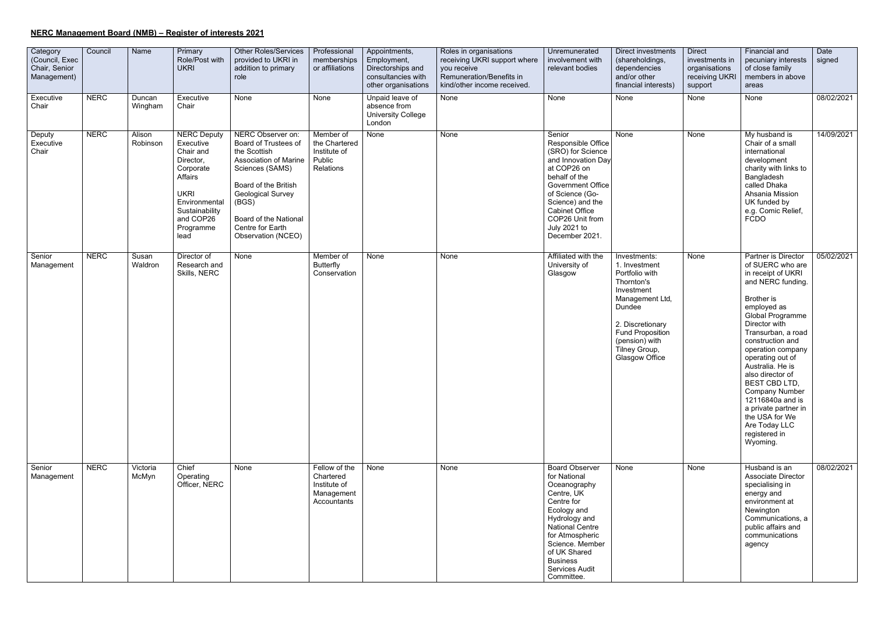## **NERC Management Board (NMB) – Register of interests 2021**

| Category<br>(Council, Exec<br>Chair, Senior<br>Management) | Council     | Name               | Primary<br>Role/Post with<br><b>UKRI</b>                                                                                                                              | <b>Other Roles/Services</b><br>provided to UKRI in<br>addition to primary<br>role                                                                                                                                                     | Professional<br>memberships<br>or affiliations                          | Appointments,<br>Employment,<br>Directorships and<br>consultancies with<br>other organisations | Roles in organisations<br>receiving UKRI support where<br>you receive<br>Remuneration/Benefits in<br>kind/other income received. | Unremunerated<br>involvement with<br>relevant bodies                                                                                                                                                                                                            | Direct investments<br>(shareholdings,<br>dependencies<br>and/or other<br>financial interests)                                                                                                                | <b>Direct</b><br>investments in<br>organisations<br>receiving UKRI<br>support | Financial and<br>pecuniary interests<br>of close family<br>members in above<br>areas                                                                                                                                                                                                                                                                                                                                                  | Date<br>signed |
|------------------------------------------------------------|-------------|--------------------|-----------------------------------------------------------------------------------------------------------------------------------------------------------------------|---------------------------------------------------------------------------------------------------------------------------------------------------------------------------------------------------------------------------------------|-------------------------------------------------------------------------|------------------------------------------------------------------------------------------------|----------------------------------------------------------------------------------------------------------------------------------|-----------------------------------------------------------------------------------------------------------------------------------------------------------------------------------------------------------------------------------------------------------------|--------------------------------------------------------------------------------------------------------------------------------------------------------------------------------------------------------------|-------------------------------------------------------------------------------|---------------------------------------------------------------------------------------------------------------------------------------------------------------------------------------------------------------------------------------------------------------------------------------------------------------------------------------------------------------------------------------------------------------------------------------|----------------|
| Executive<br>Chair                                         | <b>NERC</b> | Duncan<br>Wingham  | Executive<br>Chair                                                                                                                                                    | None                                                                                                                                                                                                                                  | None                                                                    | Unpaid leave of<br>absence from<br><b>University College</b><br>London                         | None                                                                                                                             | None                                                                                                                                                                                                                                                            | None                                                                                                                                                                                                         | None                                                                          | None                                                                                                                                                                                                                                                                                                                                                                                                                                  | 08/02/2021     |
| Deputy<br>Executive<br>Chair                               | <b>NERC</b> | Alison<br>Robinson | <b>NERC Deputy</b><br>Executive<br>Chair and<br>Director,<br>Corporate<br>Affairs<br><b>UKRI</b><br>Environmental<br>Sustainability<br>and COP26<br>Programme<br>lead | NERC Observer on:<br>Board of Trustees of<br>the Scottish<br><b>Association of Marine</b><br>Sciences (SAMS)<br>Board of the British<br>Geological Survey<br>(BGS)<br>Board of the National<br>Centre for Earth<br>Observation (NCEO) | Member of<br>the Chartered<br>Institute of<br>Public<br>Relations       | None                                                                                           | None                                                                                                                             | Senior<br>Responsible Office<br>(SRO) for Science<br>and Innovation Day<br>at COP26 on<br>behalf of the<br><b>Government Office</b><br>of Science (Go-<br>Science) and the<br><b>Cabinet Office</b><br>COP26 Unit from<br><b>July 2021 to</b><br>December 2021. | None                                                                                                                                                                                                         | None                                                                          | My husband is<br>Chair of a small<br>international<br>development<br>charity with links to<br>Bangladesh<br>called Dhaka<br>Ahsania Mission<br>UK funded by<br>e.g. Comic Relief,<br><b>FCDO</b>                                                                                                                                                                                                                                      | 14/09/2021     |
| Senior<br>Management                                       | <b>NERC</b> | Susan<br>Waldron   | Director of<br>Research and<br>Skills, NERC                                                                                                                           | None                                                                                                                                                                                                                                  | Member of<br><b>Butterfly</b><br>Conservation                           | None                                                                                           | None                                                                                                                             | Affiliated with the<br>University of<br>Glasgow                                                                                                                                                                                                                 | Investments:<br>1. Investment<br>Portfolio with<br>Thornton's<br>Investment<br>Management Ltd,<br>Dundee<br>2. Discretionary<br><b>Fund Proposition</b><br>(pension) with<br>Tilney Group,<br>Glasgow Office | None                                                                          | Partner is Director<br>of SUERC who are<br>in receipt of UKRI<br>and NERC funding.<br>Brother is<br>employed as<br>Global Programme<br>Director with<br>Transurban, a road<br>construction and<br>operation company<br>operating out of<br>Australia. He is<br>also director of<br>BEST CBD LTD,<br><b>Company Number</b><br>12116840a and is<br>a private partner in<br>the USA for We<br>Are Today LLC<br>registered in<br>Wyoming. | 05/02/2021     |
| Senior<br>Management                                       | <b>NERC</b> | Victoria<br>McMyn  | Chief<br>Operating<br>Officer, NERC                                                                                                                                   | None                                                                                                                                                                                                                                  | Fellow of the<br>Chartered<br>Institute of<br>Management<br>Accountants | None                                                                                           | None                                                                                                                             | <b>Board Observer</b><br>for National<br>Oceanography<br>Centre, UK<br>Centre for<br>Ecology and<br>Hydrology and<br><b>National Centre</b><br>for Atmospheric<br>Science. Member<br>of UK Shared<br><b>Business</b><br><b>Services Audit</b><br>Committee.     | None                                                                                                                                                                                                         | None                                                                          | Husband is an<br><b>Associate Director</b><br>specialising in<br>energy and<br>environment at<br>Newington<br>Communications, a<br>public affairs and<br>communications<br>agency                                                                                                                                                                                                                                                     | 08/02/2021     |